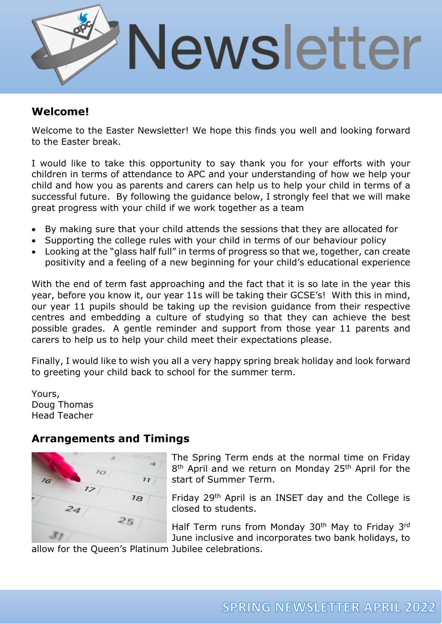

## **Welcome!**

Welcome to the Easter Newsletter! We hope this finds you well and looking forward to the Easter break.

I would like to take this opportunity to say thank you for your efforts with your children in terms of attendance to APC and your understanding of how we help your child and how you as parents and carers can help us to help your child in terms of a successful future. By following the guidance below, I strongly feel that we will make great progress with your child if we work together as a team

- By making sure that your child attends the sessions that they are allocated for
- Supporting the college rules with your child in terms of our behaviour policy
- Looking at the "glass half full" in terms of progress so that we, together, can create positivity and a feeling of a new beginning for your child's educational experience

With the end of term fast approaching and the fact that it is so late in the year this year, before you know it, our year 11s will be taking their GCSE's! With this in mind, our year 11 pupils should be taking up the revision guidance from their respective centres and embedding a culture of studying so that they can achieve the best possible grades. A gentle reminder and support from those year 11 parents and carers to help us to help your child meet their expectations please.

Finally, I would like to wish you all a very happy spring break holiday and look forward to greeting your child back to school for the summer term.

Yours, Doug Thomas Head Teacher

### **Arrangements and Timings**



The Spring Term ends at the normal time on Friday 8<sup>th</sup> April and we return on Monday 25<sup>th</sup> April for the start of Summer Term.

Friday 29th April is an INSET day and the College is closed to students.

Half Term runs from Monday 30<sup>th</sup> May to Friday 3<sup>rd</sup> June inclusive and incorporates two bank holidays, to

allow for the Queen's Platinum Jubilee celebrations.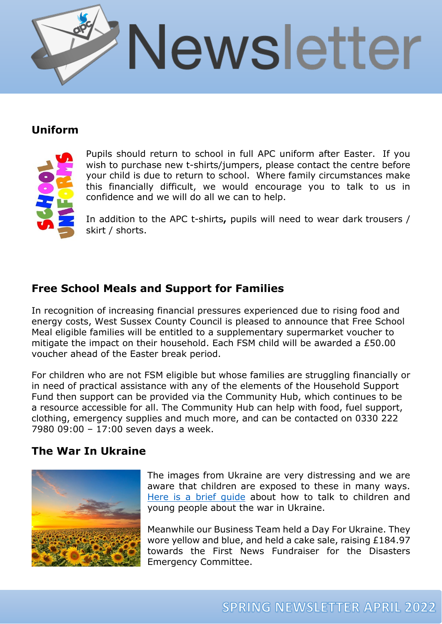

## **Uniform**



Pupils should return to school in full APC uniform after Easter. If you wish to purchase new t-shirts/jumpers, please contact the centre before your child is due to return to school. Where family circumstances make this financially difficult, we would encourage you to talk to us in confidence and we will do all we can to help.

In addition to the APC t-shirts**,** pupils will need to wear dark trousers / skirt / shorts.

# **Free School Meals and Support for Families**

In recognition of increasing financial pressures experienced due to rising food and energy costs, West Sussex County Council is pleased to announce that Free School Meal eligible families will be entitled to a supplementary supermarket voucher to mitigate the impact on their household. Each FSM child will be awarded a £50.00 voucher ahead of the Easter break period.

For children who are not FSM eligible but whose families are struggling financially or in need of practical assistance with any of the elements of the Household Support Fund then support can be provided via the Community Hub, which continues to be a resource accessible for all. The Community Hub can help with food, fuel support, clothing, emergency supplies and much more, and can be contacted on 0330 222 7980 09:00 – 17:00 seven days a week.

### **The War In Ukraine**



The images from Ukraine are very distressing and we are aware that children are exposed to these in many ways. [Here is a brief guide](https://www.apcollege.co.uk/wp-content/uploads/2022/03/War-in-Ukraine-Talking-to-Children-and-Young-people-Advice-and-Guidance.pdf) about how to talk to children and young people about the war in Ukraine.

Meanwhile our Business Team held a Day For Ukraine. They wore yellow and blue, and held a cake sale, raising £184.97 towards the First News Fundraiser for the Disasters Emergency Committee.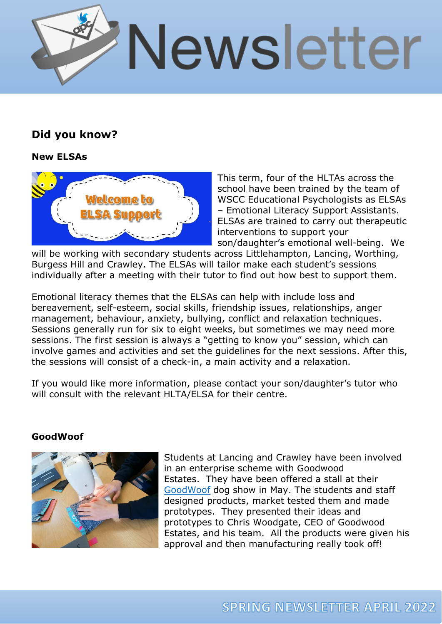

## **Did you know?**

### **New ELSAs**



This term, four of the HLTAs across the school have been trained by the team of WSCC Educational Psychologists as ELSAs – Emotional Literacy Support Assistants. ELSAs are trained to carry out therapeutic interventions to support your son/daughter's emotional well-being. We

will be working with secondary students across Littlehampton, Lancing, Worthing, Burgess Hill and Crawley. The ELSAs will tailor make each student's sessions individually after a meeting with their tutor to find out how best to support them.

Emotional literacy themes that the ELSAs can help with include loss and bereavement, self-esteem, social skills, friendship issues, relationships, anger management, behaviour, anxiety, bullying, conflict and relaxation techniques. Sessions generally run for six to eight weeks, but sometimes we may need more sessions. The first session is always a "getting to know you" session, which can involve games and activities and set the guidelines for the next sessions. After this, the sessions will consist of a check-in, a main activity and a relaxation.

If you would like more information, please contact your son/daughter's tutor who will consult with the relevant HLTA/ELSA for their centre.

### **GoodWoof**



Students at Lancing and Crawley have been involved in an enterprise scheme with Goodwood Estates. They have been offered a stall at their [GoodWoof](https://www.goodwood.com/goodwoof/) dog show in May. The students and staff designed products, market tested them and made prototypes. They presented their ideas and prototypes to Chris Woodgate, CEO of Goodwood Estates, and his team. All the products were given his approval and then manufacturing really took off!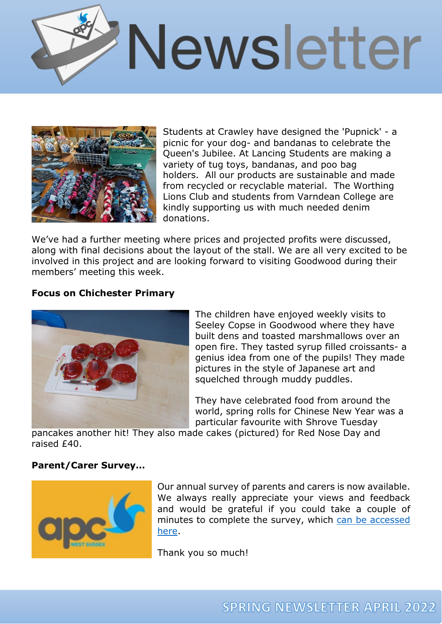



Students at Crawley have designed the 'Pupnick' - a picnic for your dog- and bandanas to celebrate the Queen's Jubilee. At Lancing Students are making a variety of tug toys, bandanas, and poo bag holders. All our products are sustainable and made from recycled or recyclable material. The Worthing Lions Club and students from Varndean College are kindly supporting us with much needed denim donations.

We've had a further meeting where prices and projected profits were discussed, along with final decisions about the layout of the stall. We are all very excited to be involved in this project and are looking forward to visiting Goodwood during their members' meeting this week.

#### **Focus on Chichester Primary**



The children have enjoyed weekly visits to Seeley Copse in Goodwood where they have built dens and toasted marshmallows over an open fire. They tasted syrup filled croissants- a genius idea from one of the pupils! They made pictures in the style of Japanese art and squelched through muddy puddles.

They have celebrated food from around the world, spring rolls for Chinese New Year was a particular favourite with Shrove Tuesday

pancakes another hit! They also made cakes (pictured) for Red Nose Day and raised £40.

#### **Parent/Carer Survey…**



Our annual survey of parents and carers is now available. We always really appreciate your views and feedback and would be grateful if you could take a couple of minutes to complete the survey, which [can be accessed](https://www.surveymonkey.co.uk/r/B2KPCNJ)  [here.](https://www.surveymonkey.co.uk/r/B2KPCNJ)

Thank you so much!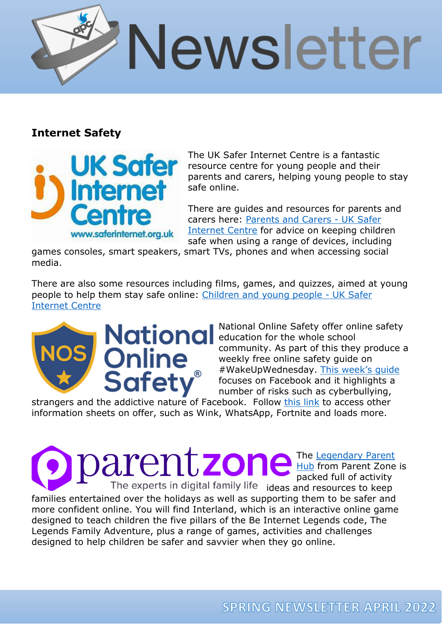

### **Internet Safety**



The UK Safer Internet Centre is a fantastic resource centre for young people and their parents and carers, helping young people to stay safe online.

There are guides and resources for parents and carers here: [Parents and Carers - UK Safer](https://saferinternet.org.uk/guide-and-resource/parents-and-carers)  [Internet Centre](https://saferinternet.org.uk/guide-and-resource/parents-and-carers) for advice on keeping children safe when using a range of devices, including

games consoles, smart speakers, smart TVs, phones and when accessing social media.

There are also some resources including films, games, and quizzes, aimed at young people to help them stay safe online: [Children and young people - UK Safer](https://saferinternet.org.uk/guide-and-resource/young-people)  [Internet Centre](https://saferinternet.org.uk/guide-and-resource/young-people)



National Online Safety offer online safety education for the whole school community. As part of this they produce a weekly free online safety guide on #WakeUpWednesday. [This week's guide](https://www.apcollege.co.uk/wp-content/uploads/2022/03/NOS-Facebook-1.jpg) focuses on Facebook and it highlights a number of risks such as cyberbullying,

strangers and the addictive nature of Facebook. Follow [this link](https://nationalonlinesafety.com/guides?utm_campaign=WakeUpWednesday&utm_medium=email&_hsmi=207720306&_hsenc=p2ANqtz--AEs8oO5MOqLD5obZMol4-v1GCREP1WQDMw76N8luzpccJNz6OXquFECoLjxdsN6S1GY_2lYz_bFkS7cx2utJqC_X7VQ&utm_content=207720306&utm_source=hs_email) to access other information sheets on offer, such as Wink, WhatsApp, Fortnite and loads more.

> The <u>Legendary Parent</u> [Hub](https://parentzone.us3.list-manage.com/track/click?u=bd227427019036d582c40c448&id=a808567679&e=46e857f424) from Parent Zone is packed full of activity

The experts in digital family life ideas and resources to keep families entertained over the holidays as well as supporting them to be safer and more confident online. You will find Interland, which is an interactive online game designed to teach children the five pillars of the Be Internet Legends code, The Legends Family Adventure, plus a range of games, activities and challenges designed to help children be safer and savvier when they go online.